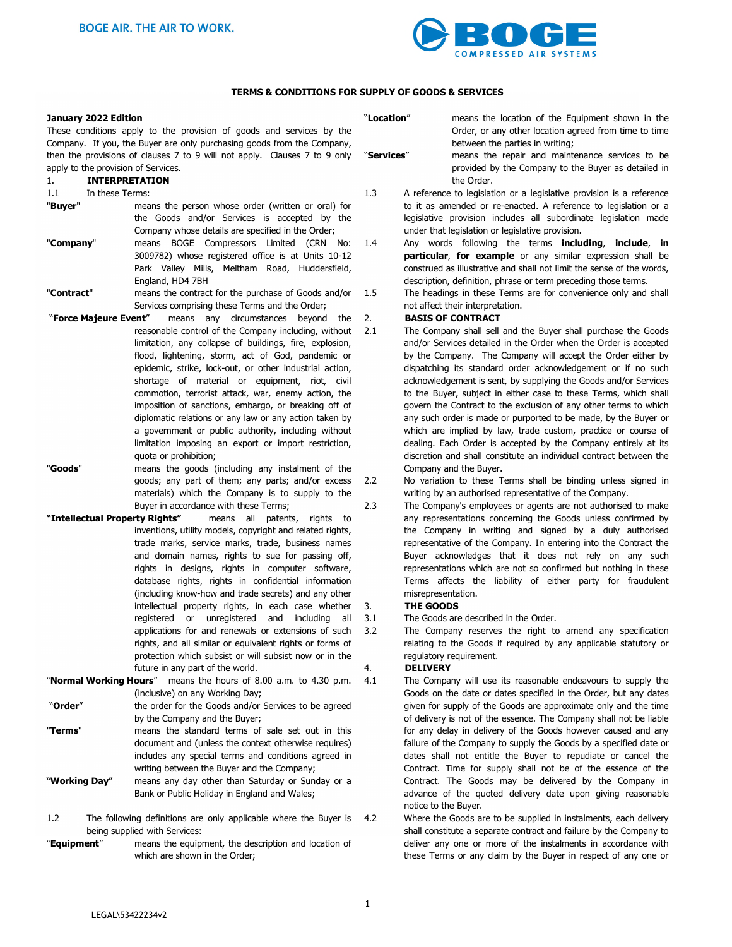

#### **TERMS & CONDITIONS FOR SUPPLY OF GOODS & SERVICES**

| January 2022 Edition |  |
|----------------------|--|
|                      |  |

These conditions apply to the provision of goods and services by the Company. If you, the Buyer are only purchasing goods from the Company, then the provisions of clauses 7 to 9 will not apply. Clauses 7 to 9 only apply to the provision of Services.

# 1. **INTERPRETATION**

### 1.1 In these Terms:

- "**Buyer**" means the person whose order (written or oral) for the Goods and/or Services is accepted by the Company whose details are specified in the Order;
- "**Company**" means BOGE Compressors Limited (CRN No: 3009782) whose registered office is at Units 10-12 Park Valley Mills, Meltham Road, Huddersfield, England, HD4 7BH
- "**Contract**" means the contract for the purchase of Goods and/or Services comprising these Terms and the Order;
- "**Force Majeure Event**" means any circumstances beyond the reasonable control of the Company including, without limitation, any collapse of buildings, fire, explosion, flood, lightening, storm, act of God, pandemic or epidemic, strike, lock-out, or other industrial action, shortage of material or equipment, riot, civil commotion, terrorist attack, war, enemy action, the imposition of sanctions, embargo, or breaking off of diplomatic relations or any law or any action taken by a government or public authority, including without limitation imposing an export or import restriction, quota or prohibition;
- "**Goods**" means the goods (including any instalment of the goods; any part of them; any parts; and/or excess materials) which the Company is to supply to the Buyer in accordance with these Terms;
- **"Intellectual Property Rights"** means all patents, rights to inventions, utility models, copyright and related rights, trade marks, service marks, trade, business names and domain names, rights to sue for passing off, rights in designs, rights in computer software, database rights, rights in confidential information (including know-how and trade secrets) and any other intellectual property rights, in each case whether registered or unregistered and including all applications for and renewals or extensions of such rights, and all similar or equivalent rights or forms of protection which subsist or will subsist now or in the future in any part of the world.
- "**Normal Working Hours**" means the hours of 8.00 a.m. to 4.30 p.m. (inclusive) on any Working Day;
- "**Order**" the order for the Goods and/or Services to be agreed by the Company and the Buyer;
- "**Terms**" means the standard terms of sale set out in this document and (unless the context otherwise requires) includes any special terms and conditions agreed in writing between the Buyer and the Company;
- "**Working Day**" means any day other than Saturday or Sunday or a Bank or Public Holiday in England and Wales;
- 1.2 The following definitions are only applicable where the Buyer is 4.2 being supplied with Services:
- "**Equipment**" means the equipment, the description and location of which are shown in the Order;

| "Location" | means the location of the Equipment shown in the<br>Order, or any other location agreed from time to time                                                                              |  |  |  |
|------------|----------------------------------------------------------------------------------------------------------------------------------------------------------------------------------------|--|--|--|
|            | between the parties in writing;                                                                                                                                                        |  |  |  |
| "Services" | means the repair and maintenance services to be<br>provided by the Company to the Buyer as detailed in<br>the Order.                                                                   |  |  |  |
| 1.3        | A reference to legislation or a legislative provision is a reference                                                                                                                   |  |  |  |
|            | to it as amended or re-enacted. A reference to legislation or a<br>legislative provision includes all subordinate legislation made<br>under that legislation or legislative provision. |  |  |  |
| 1.4        | Any words following the terms <b>including</b> , <b>include</b> ,<br>in                                                                                                                |  |  |  |
|            | particular, for example or any similar expression shall be                                                                                                                             |  |  |  |
|            | construed as illustrative and shall not limit the sense of the words,                                                                                                                  |  |  |  |
|            | description, definition, phrase or term preceding those terms.                                                                                                                         |  |  |  |
| $1.5\,$    | The headings in these Terms are for convenience only and shall                                                                                                                         |  |  |  |
|            | not affect their interpretation.                                                                                                                                                       |  |  |  |
| 2.         | <b>BASIS OF CONTRACT</b>                                                                                                                                                               |  |  |  |
| 2.1        | The Company shall sell and the Buyer shall purchase the Goods                                                                                                                          |  |  |  |
|            | and/or Services detailed in the Order when the Order is accepted                                                                                                                       |  |  |  |
|            | by the Company. The Company will accept the Order either by                                                                                                                            |  |  |  |
|            | dispatching its standard order acknowledgement or if no such                                                                                                                           |  |  |  |
|            | acknowledgement is sent, by supplying the Goods and/or Services                                                                                                                        |  |  |  |
|            | to the Buyer, subject in either case to these Terms, which shall                                                                                                                       |  |  |  |
|            | govern the Contract to the exclusion of any other terms to which                                                                                                                       |  |  |  |
|            | any such order is made or purported to be made, by the Buyer or                                                                                                                        |  |  |  |
|            | which are implied by law, trade custom, practice or course of                                                                                                                          |  |  |  |
|            | dealing. Each Order is accepted by the Company entirely at its                                                                                                                         |  |  |  |
|            | discretion and shall constitute an individual contract between the                                                                                                                     |  |  |  |

- 2.2 No variation to these Terms shall be binding unless signed in writing by an authorised representative of the Company.
- 2.3 The Company's employees or agents are not authorised to make any representations concerning the Goods unless confirmed by the Company in writing and signed by a duly authorised representative of the Company. In entering into the Contract the Buyer acknowledges that it does not rely on any such representations which are not so confirmed but nothing in these Terms affects the liability of either party for fraudulent misrepresentation.

#### 3. **THE GOODS**

3.1 The Goods are described in the Order.

Company and the Buyer.

3.2 The Company reserves the right to amend any specification relating to the Goods if required by any applicable statutory or regulatory requirement.

#### 4. **DELIVERY**

4.1 The Company will use its reasonable endeavours to supply the Goods on the date or dates specified in the Order, but any dates given for supply of the Goods are approximate only and the time of delivery is not of the essence. The Company shall not be liable for any delay in delivery of the Goods however caused and any failure of the Company to supply the Goods by a specified date or dates shall not entitle the Buyer to repudiate or cancel the Contract. Time for supply shall not be of the essence of the Contract. The Goods may be delivered by the Company in advance of the quoted delivery date upon giving reasonable notice to the Buyer.

> Where the Goods are to be supplied in instalments, each delivery shall constitute a separate contract and failure by the Company to deliver any one or more of the instalments in accordance with these Terms or any claim by the Buyer in respect of any one or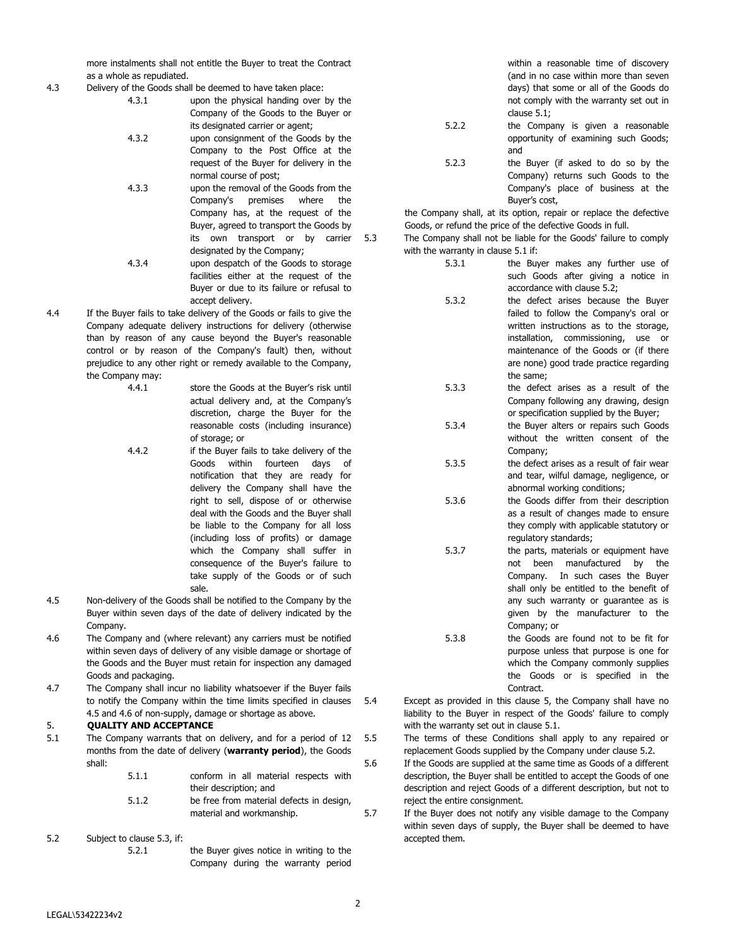more instalments shall not entitle the Buyer to treat the Contract as a whole as repudiated.

- 4.3 Delivery of the Goods shall be deemed to have taken place:
	- 4.3.1 upon the physical handing over by the Company of the Goods to the Buyer or its designated carrier or agent;
	- 4.3.2 upon consignment of the Goods by the Company to the Post Office at the request of the Buyer for delivery in the normal course of post;
	- 4.3.3 upon the removal of the Goods from the Company's premises where the Company has, at the request of the Buyer, agreed to transport the Goods by its own transport or by carrier designated by the Company;
	- 4.3.4 upon despatch of the Goods to storage facilities either at the request of the Buyer or due to its failure or refusal to accept delivery.
- 4.4 If the Buyer fails to take delivery of the Goods or fails to give the Company adequate delivery instructions for delivery (otherwise than by reason of any cause beyond the Buyer's reasonable control or by reason of the Company's fault) then, without prejudice to any other right or remedy available to the Company, the Company may:
	- 4.4.1 store the Goods at the Buyer's risk until actual delivery and, at the Company's discretion, charge the Buyer for the reasonable costs (including insurance) of storage; or
	- 4.4.2 if the Buyer fails to take delivery of the Goods within fourteen days of notification that they are ready for delivery the Company shall have the right to sell, dispose of or otherwise deal with the Goods and the Buyer shall be liable to the Company for all loss (including loss of profits) or damage which the Company shall suffer in consequence of the Buyer's failure to take supply of the Goods or of such sale.
- 4.5 Non-delivery of the Goods shall be notified to the Company by the Buyer within seven days of the date of delivery indicated by the Company.
- 4.6 The Company and (where relevant) any carriers must be notified within seven days of delivery of any visible damage or shortage of the Goods and the Buyer must retain for inspection any damaged Goods and packaging.
- 4.7 The Company shall incur no liability whatsoever if the Buyer fails to notify the Company within the time limits specified in clauses 4.5 and 4.6 of non-supply, damage or shortage as above.

# 5. **QUALITY AND ACCEPTANCE**

- 5.1 The Company warrants that on delivery, and for a period of 12 months from the date of delivery (**warranty period**), the Goods shall:
	- 5.1.1 conform in all material respects with their description; and
	- 5.1.2 be free from material defects in design, material and workmanship.

### 5.2 Subject to clause 5.3, if:

5.2.1 the Buyer gives notice in writing to the Company during the warranty period within a reasonable time of discovery (and in no case within more than seven days) that some or all of the Goods do not comply with the warranty set out in clause 5.1;

- 5.2.2 the Company is given a reasonable opportunity of examining such Goods; and
- 5.2.3 the Buyer (if asked to do so by the Company) returns such Goods to the Company's place of business at the Buyer's cost,

the Company shall, at its option, repair or replace the defective Goods, or refund the price of the defective Goods in full.

- 5.3 The Company shall not be liable for the Goods' failure to comply with the warranty in clause 5.1 if:
	- 5.3.1 the Buyer makes any further use of such Goods after giving a notice in accordance with clause 5.2;
	- 5.3.2 the defect arises because the Buyer failed to follow the Company's oral or written instructions as to the storage, installation, commissioning, use or maintenance of the Goods or (if there are none) good trade practice regarding the same;
	- 5.3.3 the defect arises as a result of the Company following any drawing, design or specification supplied by the Buyer;
	- 5.3.4 the Buyer alters or repairs such Goods without the written consent of the Company;
	- 5.3.5 the defect arises as a result of fair wear and tear, wilful damage, negligence, or abnormal working conditions;
	- 5.3.6 the Goods differ from their description as a result of changes made to ensure they comply with applicable statutory or regulatory standards;
	- 5.3.7 the parts, materials or equipment have not been manufactured by the Company. In such cases the Buyer shall only be entitled to the benefit of any such warranty or guarantee as is given by the manufacturer to the Company; or
	- 5.3.8 the Goods are found not to be fit for purpose unless that purpose is one for which the Company commonly supplies the Goods or is specified in the Contract.
- 5.4 Except as provided in this clause 5, the Company shall have no liability to the Buyer in respect of the Goods' failure to comply with the warranty set out in clause 5.1.

5.5 The terms of these Conditions shall apply to any repaired or replacement Goods supplied by the Company under clause 5.2.

- 5.6 If the Goods are supplied at the same time as Goods of a different description, the Buyer shall be entitled to accept the Goods of one description and reject Goods of a different description, but not to reject the entire consignment.
- 5.7 If the Buyer does not notify any visible damage to the Company within seven days of supply, the Buyer shall be deemed to have accepted them.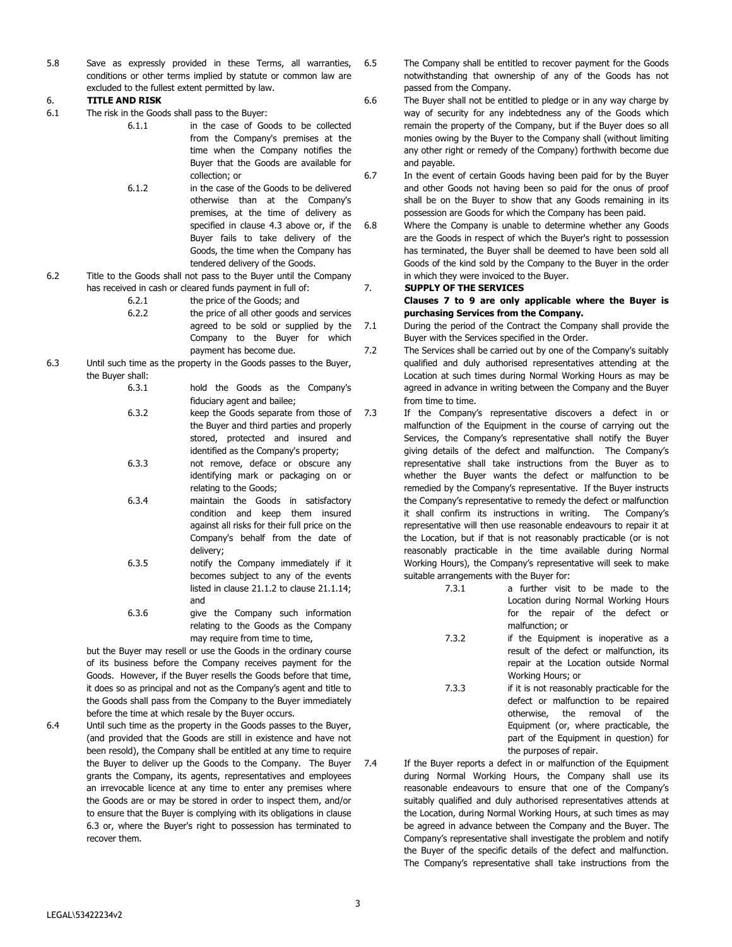5.8 Save as expressly provided in these Terms, all warranties, conditions or other terms implied by statute or common law are excluded to the fullest extent permitted by law.

### 6. **TITLE AND RISK**

- 6.1 The risk in the Goods shall pass to the Buyer:
	- 6.1.1 in the case of Goods to be collected from the Company's premises at the time when the Company notifies the Buyer that the Goods are available for collection; or
		- 6.1.2 in the case of the Goods to be delivered otherwise than at the Company's premises, at the time of delivery as specified in clause 4.3 above or, if the Buyer fails to take delivery of the Goods, the time when the Company has tendered delivery of the Goods.
- 6.2 Title to the Goods shall not pass to the Buyer until the Company has received in cash or cleared funds payment in full of:
	- 6.2.1 the price of the Goods; and
	- 6.2.2 the price of all other goods and services agreed to be sold or supplied by the Company to the Buyer for which payment has become due.
- 6.3 Until such time as the property in the Goods passes to the Buyer, the Buyer shall:

6.3.1 hold the Goods as the Company's fiduciary agent and bailee;

- 6.3.2 keep the Goods separate from those of the Buyer and third parties and properly stored, protected and insured and identified as the Company's property;
- 6.3.3 not remove, deface or obscure any identifying mark or packaging on or relating to the Goods;
- 6.3.4 maintain the Goods in satisfactory condition and keep them insured against all risks for their full price on the Company's behalf from the date of delivery;
- 6.3.5 notify the Company immediately if it becomes subject to any of the events listed in clause 21.1.2 to clause 21.1.14; and
- 6.3.6 give the Company such information relating to the Goods as the Company may require from time to time,

but the Buyer may resell or use the Goods in the ordinary course of its business before the Company receives payment for the Goods. However, if the Buyer resells the Goods before that time, it does so as principal and not as the Company's agent and title to the Goods shall pass from the Company to the Buyer immediately before the time at which resale by the Buyer occurs.

6.4 Until such time as the property in the Goods passes to the Buyer, (and provided that the Goods are still in existence and have not been resold), the Company shall be entitled at any time to require the Buyer to deliver up the Goods to the Company. The Buyer grants the Company, its agents, representatives and employees an irrevocable licence at any time to enter any premises where the Goods are or may be stored in order to inspect them, and/or to ensure that the Buyer is complying with its obligations in clause 6.3 or, where the Buyer's right to possession has terminated to recover them.

6.5 The Company shall be entitled to recover payment for the Goods notwithstanding that ownership of any of the Goods has not passed from the Company.

6.6 The Buyer shall not be entitled to pledge or in any way charge by way of security for any indebtedness any of the Goods which remain the property of the Company, but if the Buyer does so all monies owing by the Buyer to the Company shall (without limiting any other right or remedy of the Company) forthwith become due and payable.

6.7 In the event of certain Goods having been paid for by the Buyer and other Goods not having been so paid for the onus of proof shall be on the Buyer to show that any Goods remaining in its possession are Goods for which the Company has been paid.

6.8 Where the Company is unable to determine whether any Goods are the Goods in respect of which the Buyer's right to possession has terminated, the Buyer shall be deemed to have been sold all Goods of the kind sold by the Company to the Buyer in the order in which they were invoiced to the Buyer.

# 7. **SUPPLY OF THE SERVICES**

**Clauses 7 to 9 are only applicable where the Buyer is purchasing Services from the Company.** 

- 7.1 During the period of the Contract the Company shall provide the Buyer with the Services specified in the Order.
- 7.2 The Services shall be carried out by one of the Company's suitably qualified and duly authorised representatives attending at the Location at such times during Normal Working Hours as may be agreed in advance in writing between the Company and the Buyer from time to time.
- 7.3 If the Company's representative discovers a defect in or malfunction of the Equipment in the course of carrying out the Services, the Company's representative shall notify the Buyer giving details of the defect and malfunction. The Company's representative shall take instructions from the Buyer as to whether the Buyer wants the defect or malfunction to be remedied by the Company's representative. If the Buyer instructs the Company's representative to remedy the defect or malfunction it shall confirm its instructions in writing. The Company's representative will then use reasonable endeavours to repair it at the Location, but if that is not reasonably practicable (or is not reasonably practicable in the time available during Normal Working Hours), the Company's representative will seek to make suitable arrangements with the Buyer for:
	- 7.3.1 a further visit to be made to the Location during Normal Working Hours for the repair of the defect or malfunction; or
	- 7.3.2 if the Equipment is inoperative as a result of the defect or malfunction, its repair at the Location outside Normal Working Hours; or
	- 7.3.3 if it is not reasonably practicable for the defect or malfunction to be repaired otherwise, the removal of the Equipment (or, where practicable, the part of the Equipment in question) for the purposes of repair.
- 7.4 If the Buyer reports a defect in or malfunction of the Equipment during Normal Working Hours, the Company shall use its reasonable endeavours to ensure that one of the Company's suitably qualified and duly authorised representatives attends at the Location, during Normal Working Hours, at such times as may be agreed in advance between the Company and the Buyer. The Company's representative shall investigate the problem and notify the Buyer of the specific details of the defect and malfunction. The Company's representative shall take instructions from the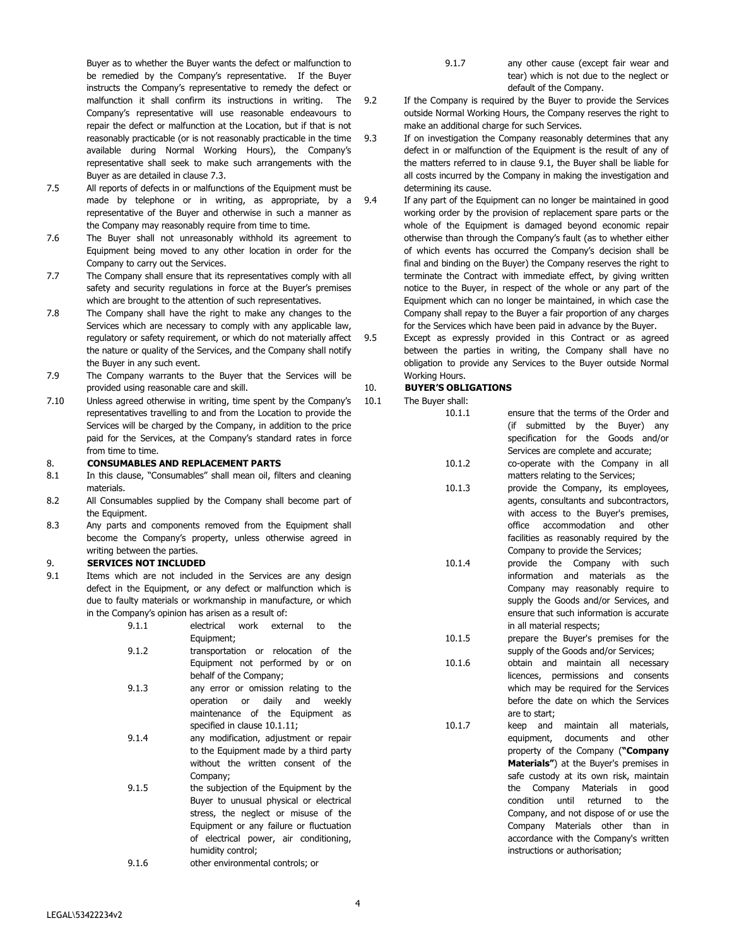Buyer as to whether the Buyer wants the defect or malfunction to be remedied by the Company's representative. If the Buyer instructs the Company's representative to remedy the defect or malfunction it shall confirm its instructions in writing. The Company's representative will use reasonable endeavours to repair the defect or malfunction at the Location, but if that is not reasonably practicable (or is not reasonably practicable in the time available during Normal Working Hours), the Company's representative shall seek to make such arrangements with the Buyer as are detailed in clause 7.3.

- 7.5 All reports of defects in or malfunctions of the Equipment must be made by telephone or in writing, as appropriate, by a representative of the Buyer and otherwise in such a manner as the Company may reasonably require from time to time.
- 7.6 The Buyer shall not unreasonably withhold its agreement to Equipment being moved to any other location in order for the Company to carry out the Services.
- 7.7 The Company shall ensure that its representatives comply with all safety and security regulations in force at the Buyer's premises which are brought to the attention of such representatives.
- 7.8 The Company shall have the right to make any changes to the Services which are necessary to comply with any applicable law, regulatory or safety requirement, or which do not materially affect 9.5 the nature or quality of the Services, and the Company shall notify the Buyer in any such event.
- 7.9 The Company warrants to the Buyer that the Services will be provided using reasonable care and skill.
- 7.10 Unless agreed otherwise in writing, time spent by the Company's representatives travelling to and from the Location to provide the Services will be charged by the Company, in addition to the price paid for the Services, at the Company's standard rates in force from time to time.

#### 8. **CONSUMABLES AND REPLACEMENT PARTS**

- 8.1 In this clause, "Consumables" shall mean oil, filters and cleaning materials.
- 8.2 All Consumables supplied by the Company shall become part of the Equipment.
- 8.3 Any parts and components removed from the Equipment shall become the Company's property, unless otherwise agreed in writing between the parties.

### 9. **SERVICES NOT INCLUDED**

- 9.1 Items which are not included in the Services are any design defect in the Equipment, or any defect or malfunction which is due to faulty materials or workmanship in manufacture, or which in the Company's opinion has arisen as a result of:
	- 9.1.1 electrical work external to the Equipment;
	- 9.1.2 transportation or relocation of the Equipment not performed by or on behalf of the Company;
	- 9.1.3 any error or omission relating to the operation or daily and weekly maintenance of the Equipment as specified in clause 10.1.11;
	- 9.1.4 any modification, adjustment or repair to the Equipment made by a third party without the written consent of the Company;
	- 9.1.5 the subjection of the Equipment by the Buyer to unusual physical or electrical stress, the neglect or misuse of the Equipment or any failure or fluctuation of electrical power, air conditioning, humidity control;
	- 9.1.6 other environmental controls; or
- 9.1.7 any other cause (except fair wear and tear) which is not due to the neglect or default of the Company.
- 9.2 If the Company is required by the Buyer to provide the Services outside Normal Working Hours, the Company reserves the right to make an additional charge for such Services.
- 9.3 If on investigation the Company reasonably determines that any defect in or malfunction of the Equipment is the result of any of the matters referred to in clause 9.1, the Buyer shall be liable for all costs incurred by the Company in making the investigation and determining its cause.
	- If any part of the Equipment can no longer be maintained in good working order by the provision of replacement spare parts or the whole of the Equipment is damaged beyond economic repair otherwise than through the Company's fault (as to whether either of which events has occurred the Company's decision shall be final and binding on the Buyer) the Company reserves the right to terminate the Contract with immediate effect, by giving written notice to the Buyer, in respect of the whole or any part of the Equipment which can no longer be maintained, in which case the Company shall repay to the Buyer a fair proportion of any charges for the Services which have been paid in advance by the Buyer.
	- Except as expressly provided in this Contract or as agreed between the parties in writing, the Company shall have no obligation to provide any Services to the Buyer outside Normal Working Hours.

#### 10. **BUYER'S OBLIGATIONS**

- 10.1 The Buyer shall:
	- 10.1.1 ensure that the terms of the Order and (if submitted by the Buyer) any specification for the Goods and/or Services are complete and accurate; 10.1.2 co-operate with the Company in all matters relating to the Services; 10.1.3 provide the Company, its employees, agents, consultants and subcontractors,
		- with access to the Buyer's premises, office accommodation and other facilities as reasonably required by the Company to provide the Services;
	- 10.1.4 provide the Company with such information and materials as the Company may reasonably require to supply the Goods and/or Services, and ensure that such information is accurate in all material respects;
	- 10.1.5 prepare the Buyer's premises for the supply of the Goods and/or Services;
	- 10.1.6 obtain and maintain all necessary licences, permissions and consents which may be required for the Services before the date on which the Services are to start;
	- 10.1.7 keep and maintain all materials, equipment, documents and other property of the Company (**"Company Materials"**) at the Buyer's premises in safe custody at its own risk, maintain the Company Materials in good condition until returned to the Company, and not dispose of or use the Company Materials other than in accordance with the Company's written instructions or authorisation;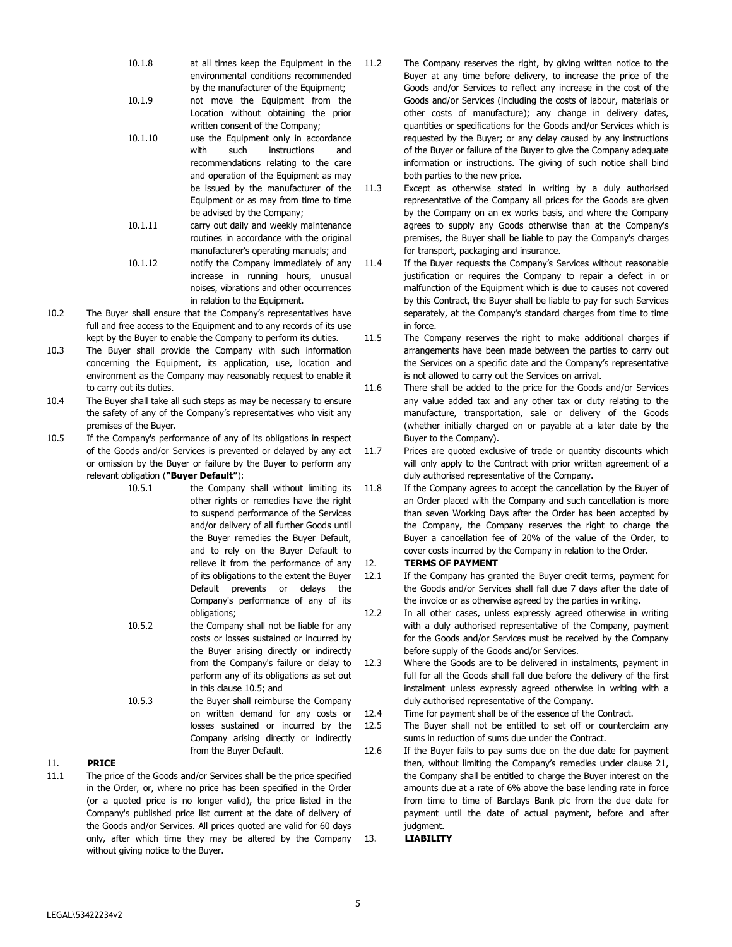- 10.1.8 at all times keep the Equipment in the environmental conditions recommended by the manufacturer of the Equipment;
- 10.1.9 not move the Equipment from the Location without obtaining the prior written consent of the Company;
- 10.1.10 use the Equipment only in accordance with such instructions and recommendations relating to the care and operation of the Equipment as may be issued by the manufacturer of the Equipment or as may from time to time be advised by the Company;
- 10.1.11 carry out daily and weekly maintenance routines in accordance with the original manufacturer's operating manuals; and 10.1.12 notify the Company immediately of any
- increase in running hours, unusual noises, vibrations and other occurrences in relation to the Equipment.
- 10.2 The Buyer shall ensure that the Company's representatives have full and free access to the Equipment and to any records of its use kept by the Buyer to enable the Company to perform its duties.
- 10.3 The Buyer shall provide the Company with such information concerning the Equipment, its application, use, location and environment as the Company may reasonably request to enable it to carry out its duties.
- 10.4 The Buyer shall take all such steps as may be necessary to ensure the safety of any of the Company's representatives who visit any premises of the Buyer.
- 10.5 If the Company's performance of any of its obligations in respect of the Goods and/or Services is prevented or delayed by any act or omission by the Buyer or failure by the Buyer to perform any relevant obligation (**"Buyer Default"**):
	- 10.5.1 the Company shall without limiting its other rights or remedies have the right to suspend performance of the Services and/or delivery of all further Goods until the Buyer remedies the Buyer Default, and to rely on the Buyer Default to relieve it from the performance of any of its obligations to the extent the Buyer Default prevents or delays the Company's performance of any of its obligations;
	- 10.5.2 the Company shall not be liable for any costs or losses sustained or incurred by the Buyer arising directly or indirectly from the Company's failure or delay to perform any of its obligations as set out in this clause 10.5; and
	- 10.5.3 the Buyer shall reimburse the Company on written demand for any costs or losses sustained or incurred by the Company arising directly or indirectly from the Buyer Default.

# 11. **PRICE**

11.1 The price of the Goods and/or Services shall be the price specified in the Order, or, where no price has been specified in the Order (or a quoted price is no longer valid), the price listed in the Company's published price list current at the date of delivery of the Goods and/or Services. All prices quoted are valid for 60 days only, after which time they may be altered by the Company without giving notice to the Buyer.

- 11.2 The Company reserves the right, by giving written notice to the Buyer at any time before delivery, to increase the price of the Goods and/or Services to reflect any increase in the cost of the Goods and/or Services (including the costs of labour, materials or other costs of manufacture); any change in delivery dates, quantities or specifications for the Goods and/or Services which is requested by the Buyer; or any delay caused by any instructions of the Buyer or failure of the Buyer to give the Company adequate information or instructions. The giving of such notice shall bind both parties to the new price.
- 11.3 Except as otherwise stated in writing by a duly authorised representative of the Company all prices for the Goods are given by the Company on an ex works basis, and where the Company agrees to supply any Goods otherwise than at the Company's premises, the Buyer shall be liable to pay the Company's charges for transport, packaging and insurance.
- 11.4 If the Buyer requests the Company's Services without reasonable justification or requires the Company to repair a defect in or malfunction of the Equipment which is due to causes not covered by this Contract, the Buyer shall be liable to pay for such Services separately, at the Company's standard charges from time to time in force.
- 11.5 The Company reserves the right to make additional charges if arrangements have been made between the parties to carry out the Services on a specific date and the Company's representative is not allowed to carry out the Services on arrival.
- 11.6 There shall be added to the price for the Goods and/or Services any value added tax and any other tax or duty relating to the manufacture, transportation, sale or delivery of the Goods (whether initially charged on or payable at a later date by the Buyer to the Company).
- 11.7 Prices are quoted exclusive of trade or quantity discounts which will only apply to the Contract with prior written agreement of a duly authorised representative of the Company.
- 11.8 If the Company agrees to accept the cancellation by the Buyer of an Order placed with the Company and such cancellation is more than seven Working Days after the Order has been accepted by the Company, the Company reserves the right to charge the Buyer a cancellation fee of 20% of the value of the Order, to cover costs incurred by the Company in relation to the Order.

### 12. **TERMS OF PAYMENT**

- 12.1 If the Company has granted the Buyer credit terms, payment for the Goods and/or Services shall fall due 7 days after the date of the invoice or as otherwise agreed by the parties in writing.
- 12.2 In all other cases, unless expressly agreed otherwise in writing with a duly authorised representative of the Company, payment for the Goods and/or Services must be received by the Company before supply of the Goods and/or Services.
- 12.3 Where the Goods are to be delivered in instalments, payment in full for all the Goods shall fall due before the delivery of the first instalment unless expressly agreed otherwise in writing with a duly authorised representative of the Company.
- 12.4 Time for payment shall be of the essence of the Contract.
- 12.5 The Buyer shall not be entitled to set off or counterclaim any sums in reduction of sums due under the Contract.
- 12.6 If the Buyer fails to pay sums due on the due date for payment then, without limiting the Company's remedies under clause 21, the Company shall be entitled to charge the Buyer interest on the amounts due at a rate of 6% above the base lending rate in force from time to time of Barclays Bank plc from the due date for payment until the date of actual payment, before and after judament.

### 13. **LIABILITY**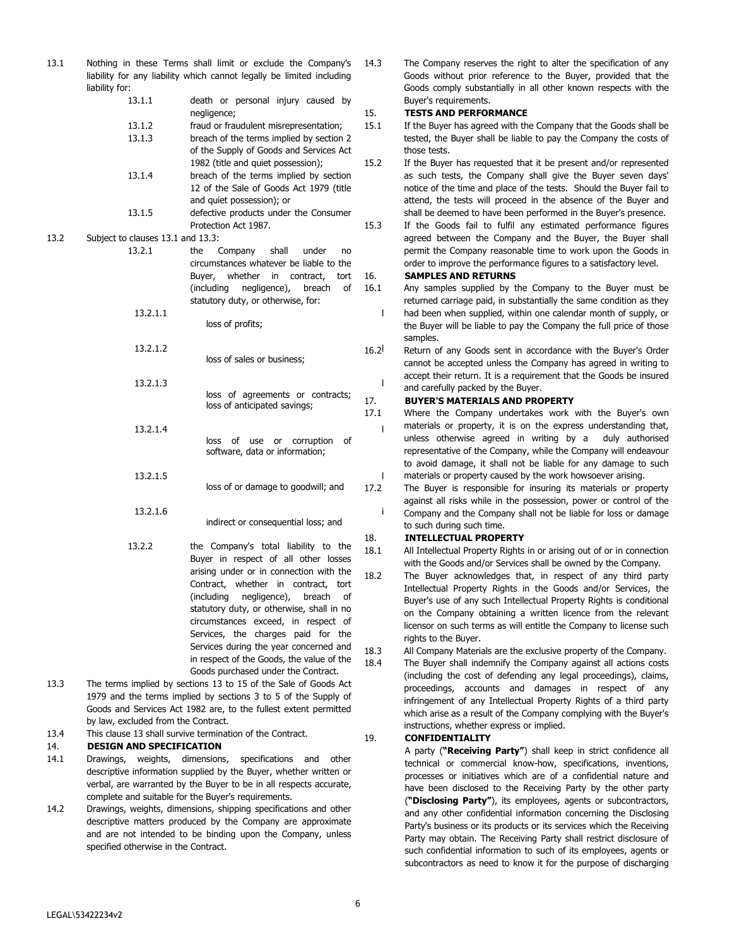| 13.1 | Nothing in these Terms shall limit or exclude the Company's<br>liability for any liability which cannot legally be limited including<br>liability for: |                                                                                   |             |
|------|--------------------------------------------------------------------------------------------------------------------------------------------------------|-----------------------------------------------------------------------------------|-------------|
|      | 13.1.1                                                                                                                                                 | death or personal injury caused by                                                |             |
|      |                                                                                                                                                        | negligence;                                                                       | 15.         |
|      | 13.1.2                                                                                                                                                 | fraud or fraudulent misrepresentation;                                            | 15.1        |
|      | 13.1.3                                                                                                                                                 | breach of the terms implied by section 2                                          |             |
|      |                                                                                                                                                        | of the Supply of Goods and Services Act                                           |             |
|      |                                                                                                                                                        | 1982 (title and quiet possession);                                                | 15.2        |
|      | 13.1.4                                                                                                                                                 | breach of the terms implied by section                                            |             |
|      |                                                                                                                                                        | 12 of the Sale of Goods Act 1979 (title                                           |             |
|      |                                                                                                                                                        | and quiet possession); or                                                         |             |
|      | 13.1.5                                                                                                                                                 | defective products under the Consumer                                             |             |
|      |                                                                                                                                                        | Protection Act 1987.                                                              | 15.3        |
| 13.2 | Subject to clauses 13.1 and 13.3:                                                                                                                      |                                                                                   |             |
|      | 13.2.1                                                                                                                                                 | Company<br>shall<br>the<br>under<br>no                                            |             |
|      |                                                                                                                                                        | circumstances whatever be liable to the                                           |             |
|      |                                                                                                                                                        | Buyer,<br>whether<br>in.<br>contract,<br>tort                                     | 16.<br>16.1 |
|      |                                                                                                                                                        | (including)<br>negligence),<br>breach<br>οf<br>statutory duty, or otherwise, for: |             |
|      | 13.2.1.1                                                                                                                                               |                                                                                   |             |
|      |                                                                                                                                                        | loss of profits;                                                                  |             |
|      | 13.2.1.2                                                                                                                                               |                                                                                   | 16.2        |
|      |                                                                                                                                                        | loss of sales or business;                                                        |             |
|      | 13.2.1.3                                                                                                                                               |                                                                                   |             |
|      |                                                                                                                                                        | loss of agreements or contracts;                                                  |             |
|      |                                                                                                                                                        | loss of anticipated savings;                                                      | 17.         |
|      |                                                                                                                                                        |                                                                                   | 17.1        |
|      | 13.2.1.4                                                                                                                                               |                                                                                   | I           |
|      |                                                                                                                                                        | loss<br>of<br>or corruption<br>use<br>οf                                          |             |
|      |                                                                                                                                                        | software, data or information;                                                    |             |
|      | 13.2.1.5                                                                                                                                               |                                                                                   |             |
|      |                                                                                                                                                        | loss of or damage to goodwill; and                                                | 17.2        |
|      |                                                                                                                                                        |                                                                                   |             |
|      | 13.2.1.6                                                                                                                                               |                                                                                   | I           |
|      |                                                                                                                                                        | indirect or consequential loss; and                                               |             |
|      |                                                                                                                                                        |                                                                                   | 18.         |
|      | 13.2.2                                                                                                                                                 | the Company's total liability to the<br>Buyer in respect of all other losses      | 18.1        |
|      |                                                                                                                                                        | arising under or in connection with the                                           | 18.2        |

- Contract, whether in contract, tort (including negligence), breach of statutory duty, or otherwise, shall in no circumstances exceed, in respect of Services, the charges paid for the Services during the year concerned and in respect of the Goods, the value of the Goods purchased under the Contract.
- 13.3 The terms implied by sections 13 to 15 of the Sale of Goods Act 1979 and the terms implied by sections 3 to 5 of the Supply of Goods and Services Act 1982 are, to the fullest extent permitted by law, excluded from the Contract.
- 13.4 This clause 13 shall survive termination of the Contract.

# 14. **DESIGN AND SPECIFICATION**

- 14.1 Drawings, weights, dimensions, specifications and other descriptive information supplied by the Buyer, whether written or verbal, are warranted by the Buyer to be in all respects accurate, complete and suitable for the Buyer's requirements.
- 14.2 Drawings, weights, dimensions, shipping specifications and other descriptive matters produced by the Company are approximate and are not intended to be binding upon the Company, unless specified otherwise in the Contract.

14.3 The Company reserves the right to alter the specification of any Goods without prior reference to the Buyer, provided that the Goods comply substantially in all other known respects with the Buyer's requirements.

# 15. **TESTS AND PERFORMANCE**

- 15.1 If the Buyer has agreed with the Company that the Goods shall be tested, the Buyer shall be liable to pay the Company the costs of those tests.
- 15.2 If the Buyer has requested that it be present and/or represented as such tests, the Company shall give the Buyer seven days' notice of the time and place of the tests. Should the Buyer fail to attend, the tests will proceed in the absence of the Buyer and shall be deemed to have been performed in the Buyer's presence.
- 15.3 If the Goods fail to fulfil any estimated performance figures agreed between the Company and the Buyer, the Buyer shall permit the Company reasonable time to work upon the Goods in order to improve the performance figures to a satisfactory level.

# 16. **SAMPLES AND RETURNS**

16.1 Any samples supplied by the Company to the Buyer must be returned carriage paid, in substantially the same condition as they had been when supplied, within one calendar month of supply, or the Buyer will be liable to pay the Company the full price of those samples.

12<sup>1</sup> Return of any Goods sent in accordance with the Buyer's Order cannot be accepted unless the Company has agreed in writing to accept their return. It is a requirement that the Goods be insured and carefully packed by the Buyer.

# 17. **BUYER'S MATERIALS AND PROPERTY**

17.1 Where the Company undertakes work with the Buyer's own materials or property, it is on the express understanding that, unless otherwise agreed in writing by a duly authorised representative of the Company, while the Company will endeavour to avoid damage, it shall not be liable for any damage to such materials or property caused by the work howsoever arising.

.2 The Buyer is responsible for insuring its materials or property against all risks while in the possession, power or control of the Company and the Company shall not be liable for loss or damage to such during such time.

# 18. **INTELLECTUAL PROPERTY**

- 18.1 All Intellectual Property Rights in or arising out of or in connection with the Goods and/or Services shall be owned by the Company.
- 18.2 The Buyer acknowledges that, in respect of any third party Intellectual Property Rights in the Goods and/or Services, the Buyer's use of any such Intellectual Property Rights is conditional on the Company obtaining a written licence from the relevant licensor on such terms as will entitle the Company to license such rights to the Buyer.

18.3 All Company Materials are the exclusive property of the Company. 18.4 The Buyer shall indemnify the Company against all actions costs (including the cost of defending any legal proceedings), claims, proceedings, accounts and damages in respect of any infringement of any Intellectual Property Rights of a third party which arise as a result of the Company complying with the Buyer's instructions, whether express or implied.

# 19. **CONFIDENTIALITY**

A party (**"Receiving Party"**) shall keep in strict confidence all technical or commercial know-how, specifications, inventions, processes or initiatives which are of a confidential nature and have been disclosed to the Receiving Party by the other party (**"Disclosing Party"**), its employees, agents or subcontractors, and any other confidential information concerning the Disclosing Party's business or its products or its services which the Receiving Party may obtain. The Receiving Party shall restrict disclosure of such confidential information to such of its employees, agents or subcontractors as need to know it for the purpose of discharging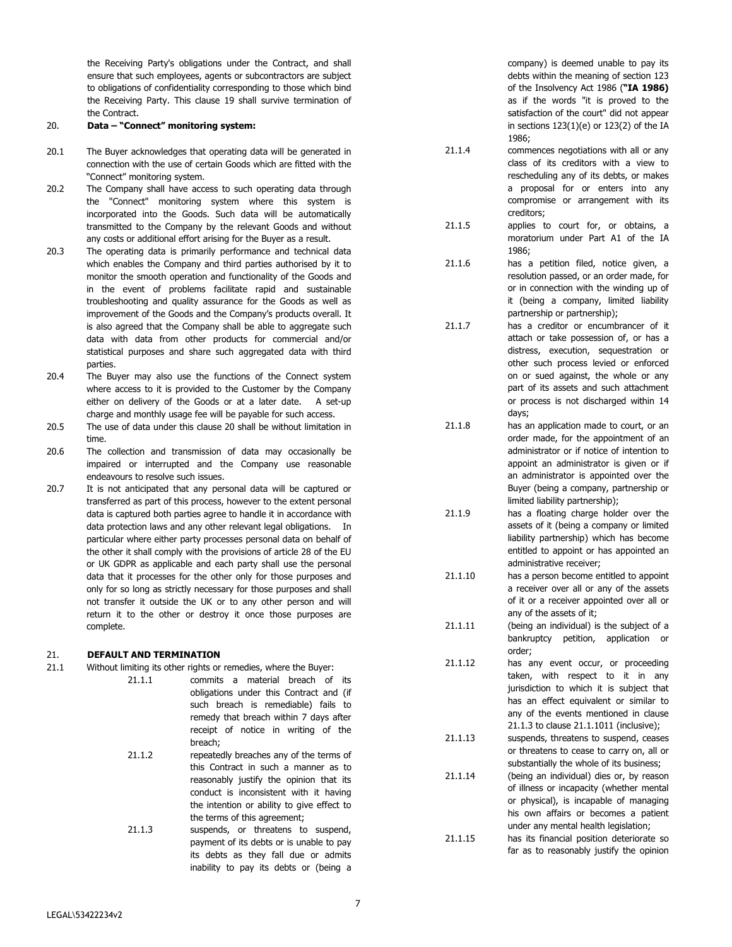the Receiving Party's obligations under the Contract, and shall ensure that such employees, agents or subcontractors are subject to obligations of confidentiality corresponding to those which bind the Receiving Party. This clause 19 shall survive termination of the Contract.

#### 20. **Data – "Connect" monitoring system:**

- 20.1 The Buyer acknowledges that operating data will be generated in connection with the use of certain Goods which are fitted with the "Connect" monitoring system.
- 20.2 The Company shall have access to such operating data through the "Connect" monitoring system where this system is incorporated into the Goods. Such data will be automatically transmitted to the Company by the relevant Goods and without any costs or additional effort arising for the Buyer as a result.
- 20.3 The operating data is primarily performance and technical data which enables the Company and third parties authorised by it to monitor the smooth operation and functionality of the Goods and in the event of problems facilitate rapid and sustainable troubleshooting and quality assurance for the Goods as well as improvement of the Goods and the Company's products overall. It is also agreed that the Company shall be able to aggregate such data with data from other products for commercial and/or statistical purposes and share such aggregated data with third parties.
- 20.4 The Buyer may also use the functions of the Connect system where access to it is provided to the Customer by the Company either on delivery of the Goods or at a later date. A set-up charge and monthly usage fee will be payable for such access.
- 20.5 The use of data under this clause 20 shall be without limitation in time.
- 20.6 The collection and transmission of data may occasionally be impaired or interrupted and the Company use reasonable endeavours to resolve such issues.
- 20.7 It is not anticipated that any personal data will be captured or transferred as part of this process, however to the extent personal data is captured both parties agree to handle it in accordance with data protection laws and any other relevant legal obligations. In particular where either party processes personal data on behalf of the other it shall comply with the provisions of article 28 of the EU or UK GDPR as applicable and each party shall use the personal data that it processes for the other only for those purposes and only for so long as strictly necessary for those purposes and shall not transfer it outside the UK or to any other person and will return it to the other or destroy it once those purposes are complete.

### 21. **DEFAULT AND TERMINATION**

- 21.1 Without limiting its other rights or remedies, where the Buyer:
	- 21.1.1 commits a material breach of its obligations under this Contract and (if such breach is remediable) fails to remedy that breach within 7 days after receipt of notice in writing of the breach;

21.1.2 repeatedly breaches any of the terms of this Contract in such a manner as to reasonably justify the opinion that its conduct is inconsistent with it having the intention or ability to give effect to the terms of this agreement;

21.1.3 suspends, or threatens to suspend, payment of its debts or is unable to pay its debts as they fall due or admits inability to pay its debts or (being a

company) is deemed unable to pay its debts within the meaning of section 123 of the Insolvency Act 1986 (**"IA 1986)** as if the words "it is proved to the satisfaction of the court" did not appear in sections 123(1)(e) or 123(2) of the IA 1986;

- 21.1.4 commences negotiations with all or any class of its creditors with a view to rescheduling any of its debts, or makes a proposal for or enters into any compromise or arrangement with its creditors;
- 21.1.5 applies to court for, or obtains, a moratorium under Part A1 of the IA 1986;
- 21.1.6 has a petition filed, notice given, a resolution passed, or an order made, for or in connection with the winding up of it (being a company, limited liability partnership or partnership);
- 21.1.7 has a creditor or encumbrancer of it attach or take possession of, or has a distress, execution, sequestration or other such process levied or enforced on or sued against, the whole or any part of its assets and such attachment or process is not discharged within 14 days;
- 21.1.8 has an application made to court, or an order made, for the appointment of an administrator or if notice of intention to appoint an administrator is given or if an administrator is appointed over the Buyer (being a company, partnership or limited liability partnership);
- 21.1.9 has a floating charge holder over the assets of it (being a company or limited liability partnership) which has become entitled to appoint or has appointed an administrative receiver;
- 21.1.10 has a person become entitled to appoint a receiver over all or any of the assets of it or a receiver appointed over all or any of the assets of it;
- 21.1.11 (being an individual) is the subject of a bankruptcy petition, application or order;
- 21.1.12 has any event occur, or proceeding taken, with respect to it in any jurisdiction to which it is subject that has an effect equivalent or similar to any of the events mentioned in clause 21.1.3 to clause 21.1.1011 (inclusive);
- 21.1.13 suspends, threatens to suspend, ceases or threatens to cease to carry on, all or substantially the whole of its business;
- 21.1.14 (being an individual) dies or, by reason of illness or incapacity (whether mental or physical), is incapable of managing his own affairs or becomes a patient under any mental health legislation;

21.1.15 has its financial position deteriorate so far as to reasonably justify the opinion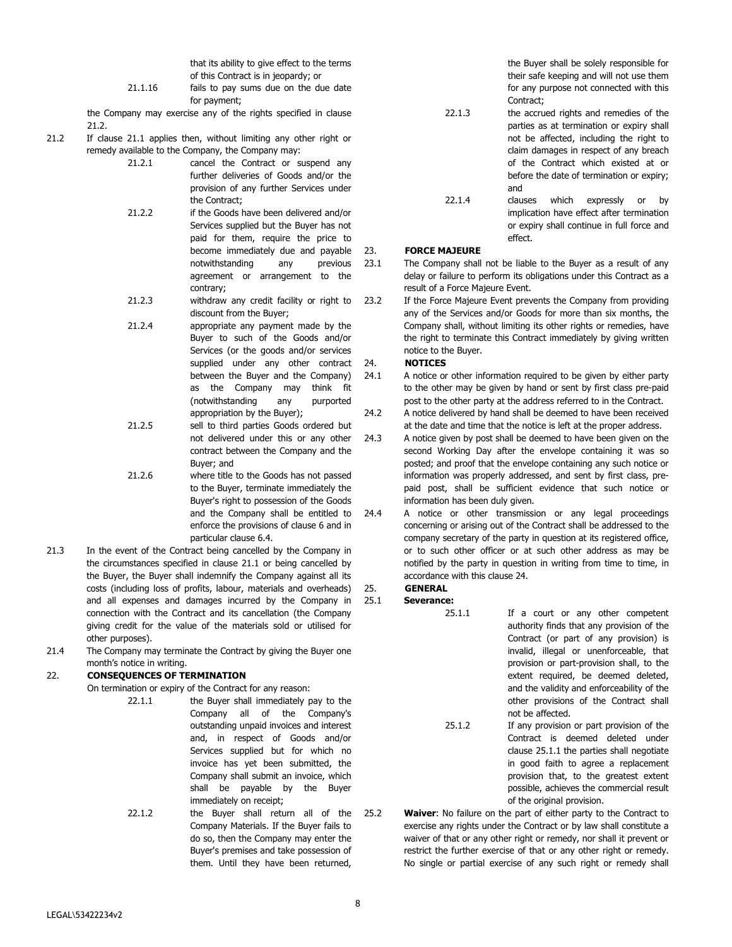that its ability to give effect to the terms of this Contract is in jeopardy; or

21.1.16 fails to pay sums due on the due date for payment;

the Company may exercise any of the rights specified in clause 21.2.

- 21.2 If clause 21.1 applies then, without limiting any other right or remedy available to the Company, the Company may:
	- 21.2.1 cancel the Contract or suspend any further deliveries of Goods and/or the provision of any further Services under the Contract;
	- 21.2.2 if the Goods have been delivered and/or Services supplied but the Buyer has not paid for them, require the price to become immediately due and payable notwithstanding any previous agreement or arrangement to the contrary;
	- 21.2.3 withdraw any credit facility or right to discount from the Buyer;

21.2.4 appropriate any payment made by the Buyer to such of the Goods and/or Services (or the goods and/or services supplied under any other contract between the Buyer and the Company) as the Company may think fit (notwithstanding any purported appropriation by the Buyer);

- 21.2.5 sell to third parties Goods ordered but not delivered under this or any other contract between the Company and the Buyer; and
- 21.2.6 where title to the Goods has not passed to the Buyer, terminate immediately the Buyer's right to possession of the Goods and the Company shall be entitled to enforce the provisions of clause 6 and in particular clause 6.4.
- 21.3 In the event of the Contract being cancelled by the Company in the circumstances specified in clause 21.1 or being cancelled by the Buyer, the Buyer shall indemnify the Company against all its costs (including loss of profits, labour, materials and overheads) and all expenses and damages incurred by the Company in connection with the Contract and its cancellation (the Company giving credit for the value of the materials sold or utilised for other purposes).
- 21.4 The Company may terminate the Contract by giving the Buyer one month's notice in writing.

# 22. **CONSEQUENCES OF TERMINATION**

On termination or expiry of the Contract for any reason:

- 22.1.1 the Buyer shall immediately pay to the Company all of the Company's outstanding unpaid invoices and interest and, in respect of Goods and/or Services supplied but for which no invoice has yet been submitted, the Company shall submit an invoice, which shall be payable by the Buyer immediately on receipt;
- 22.1.2 the Buyer shall return all of the Company Materials. If the Buyer fails to do so, then the Company may enter the Buyer's premises and take possession of them. Until they have been returned,

the Buyer shall be solely responsible for their safe keeping and will not use them for any purpose not connected with this Contract;

- 22.1.3 the accrued rights and remedies of the parties as at termination or expiry shall not be affected, including the right to claim damages in respect of any breach of the Contract which existed at or before the date of termination or expiry; and
- 22.1.4 clauses which expressly or by implication have effect after termination or expiry shall continue in full force and effect.

# 23. **FORCE MAJEURE**

23.1 The Company shall not be liable to the Buyer as a result of any delay or failure to perform its obligations under this Contract as a result of a Force Majeure Event.

23.2 If the Force Majeure Event prevents the Company from providing any of the Services and/or Goods for more than six months, the Company shall, without limiting its other rights or remedies, have the right to terminate this Contract immediately by giving written notice to the Buyer.

# 24. **NOTICES**

24.1 A notice or other information required to be given by either party to the other may be given by hand or sent by first class pre-paid post to the other party at the address referred to in the Contract.

- 24.2 A notice delivered by hand shall be deemed to have been received at the date and time that the notice is left at the proper address.
- 24.3 A notice given by post shall be deemed to have been given on the second Working Day after the envelope containing it was so posted; and proof that the envelope containing any such notice or information was properly addressed, and sent by first class, prepaid post, shall be sufficient evidence that such notice or information has been duly given.
- 24.4 A notice or other transmission or any legal proceedings concerning or arising out of the Contract shall be addressed to the company secretary of the party in question at its registered office, or to such other officer or at such other address as may be notified by the party in question in writing from time to time, in accordance with this clause 24.

# 25. **GENERAL**

25.1 **Severance:** 

- 25.1.1 If a court or any other competent authority finds that any provision of the Contract (or part of any provision) is invalid, illegal or unenforceable, that provision or part-provision shall, to the extent required, be deemed deleted, and the validity and enforceability of the other provisions of the Contract shall not be affected.
- 25.1.2 If any provision or part provision of the Contract is deemed deleted under clause 25.1.1 the parties shall negotiate in good faith to agree a replacement provision that, to the greatest extent possible, achieves the commercial result of the original provision.
- 25.2 **Waiver**: No failure on the part of either party to the Contract to exercise any rights under the Contract or by law shall constitute a waiver of that or any other right or remedy, nor shall it prevent or restrict the further exercise of that or any other right or remedy. No single or partial exercise of any such right or remedy shall